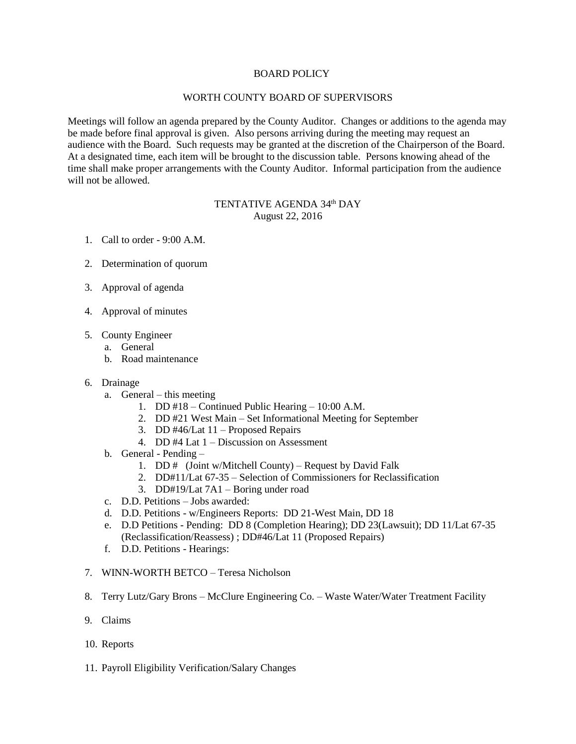## BOARD POLICY

## WORTH COUNTY BOARD OF SUPERVISORS

Meetings will follow an agenda prepared by the County Auditor. Changes or additions to the agenda may be made before final approval is given. Also persons arriving during the meeting may request an audience with the Board. Such requests may be granted at the discretion of the Chairperson of the Board. At a designated time, each item will be brought to the discussion table. Persons knowing ahead of the time shall make proper arrangements with the County Auditor. Informal participation from the audience will not be allowed.

## TENTATIVE AGENDA 34<sup>th</sup> DAY August 22, 2016

- 1. Call to order 9:00 A.M.
- 2. Determination of quorum
- 3. Approval of agenda
- 4. Approval of minutes
- 5. County Engineer
	- a. General
	- b. Road maintenance
- 6. Drainage
	- a. General this meeting
		- 1. DD #18 Continued Public Hearing 10:00 A.M.
		- 2. DD #21 West Main Set Informational Meeting for September
		- 3. DD #46/Lat 11 Proposed Repairs
		- 4. DD #4 Lat 1 Discussion on Assessment
	- b. General Pending
		- 1. DD # (Joint w/Mitchell County) Request by David Falk
		- 2. DD#11/Lat 67-35 Selection of Commissioners for Reclassification
		- 3. DD#19/Lat 7A1 Boring under road
	- c. D.D. Petitions Jobs awarded:
	- d. D.D. Petitions w/Engineers Reports: DD 21-West Main, DD 18
	- e. D.D Petitions Pending: DD 8 (Completion Hearing); DD 23(Lawsuit); DD 11/Lat 67-35 (Reclassification/Reassess) ; DD#46/Lat 11 (Proposed Repairs)
	- f. D.D. Petitions Hearings:
- 7. WINN-WORTH BETCO Teresa Nicholson
- 8. Terry Lutz/Gary Brons McClure Engineering Co. Waste Water/Water Treatment Facility
- 9. Claims
- 10. Reports
- 11. Payroll Eligibility Verification/Salary Changes